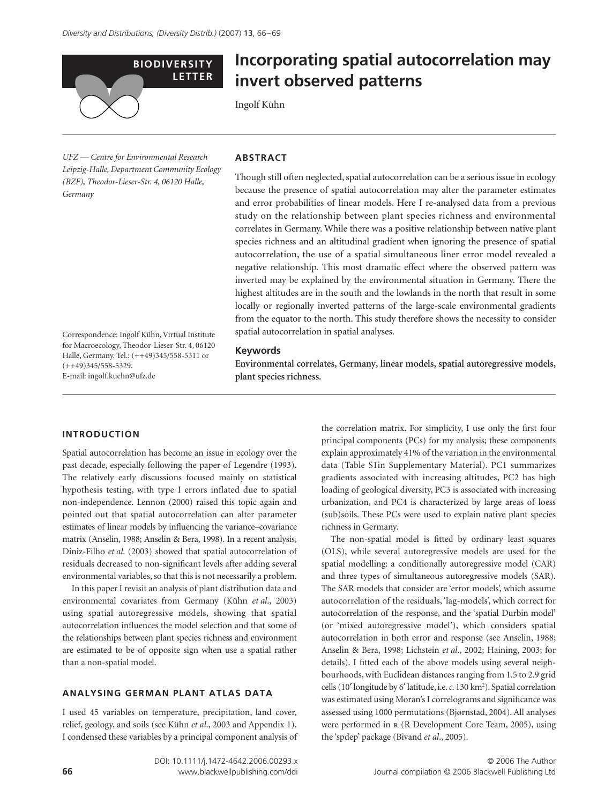

# **Incorporating spatial autocorrelation may invert observed patterns**

Ingolf Kühn

*UFZ — Centre for Environmental Research Leipzig-Halle, Department Community Ecology (BZF), Theodor-Lieser-Str. 4, 06120 Halle, Germany* 

Correspondence: Ingolf Kühn, Virtual Institute for Macroecology, Theodor-Lieser-Str. 4, 06120 Halle, Germany. Tel.: (++49)345/558-5311 or

## **ABSTRACT**

Though still often neglected, spatial autocorrelation can be a serious issue in ecology because the presence of spatial autocorrelation may alter the parameter estimates and error probabilities of linear models. Here I re-analysed data from a previous study on the relationship between plant species richness and environmental correlates in Germany. While there was a positive relationship between native plant species richness and an altitudinal gradient when ignoring the presence of spatial autocorrelation, the use of a spatial simultaneous liner error model revealed a negative relationship. This most dramatic effect where the observed pattern was inverted may be explained by the environmental situation in Germany. There the highest altitudes are in the south and the lowlands in the north that result in some locally or regionally inverted patterns of the large-scale environmental gradients from the equator to the north. This study therefore shows the necessity to consider spatial autocorrelation in spatial analyses.

## **Keywords**

**Environmental correlates, Germany, linear models, spatial autoregressive models, plant species richness.**

#### **INTRODUCTION**

(++49)345/558-5329. E-mail: ingolf.kuehn@ufz.de

Spatial autocorrelation has become an issue in ecology over the past decade, especially following the paper of Legendre (1993). The relatively early discussions focused mainly on statistical hypothesis testing, with type I errors inflated due to spatial non-independence. Lennon (2000) raised this topic again and pointed out that spatial autocorrelation can alter parameter estimates of linear models by influencing the variance–covariance matrix (Anselin, 1988; Anselin & Bera, 1998). In a recent analysis, Diniz-Filho *et al*. (2003) showed that spatial autocorrelation of residuals decreased to non-significant levels after adding several environmental variables, so that this is not necessarily a problem.

In this paper I revisit an analysis of plant distribution data and environmental covariates from Germany (Kühn *et al*., 2003) using spatial autoregressive models, showing that spatial autocorrelation influences the model selection and that some of the relationships between plant species richness and environment are estimated to be of opposite sign when use a spatial rather than a non-spatial model.

## **ANALYSING GERMAN PLANT ATLAS DATA**

I used 45 variables on temperature, precipitation, land cover, relief, geology, and soils (see Kühn *et al*., 2003 and Appendix 1). I condensed these variables by a principal component analysis of

the correlation matrix. For simplicity, I use only the first four principal components (PCs) for my analysis; these components explain approximately 41% of the variation in the environmental data (Table S1in Supplementary Material). PC1 summarizes gradients associated with increasing altitudes, PC2 has high loading of geological diversity, PC3 is associated with increasing urbanization, and PC4 is characterized by large areas of loess (sub)soils. These PCs were used to explain native plant species richness in Germany.

The non-spatial model is fitted by ordinary least squares (OLS), while several autoregressive models are used for the spatial modelling: a conditionally autoregressive model (CAR) and three types of simultaneous autoregressive models (SAR). The SAR models that consider are 'error models', which assume autocorrelation of the residuals, 'lag-models', which correct for autocorrelation of the response, and the 'spatial Durbin model' (or 'mixed autoregressive model'), which considers spatial autocorrelation in both error and response (see Anselin, 1988; Anselin & Bera, 1998; Lichstein *et al*., 2002; Haining, 2003; for details). I fitted each of the above models using several neighbourhoods, with Euclidean distances ranging from 1.5 to 2.9 grid cells (10' longitude by 6' latitude, i.e. c. 130 km<sup>2</sup>). Spatial correlation was estimated using Moran's I correlograms and significance was assessed using 1000 permutations (Bjørnstad, 2004). All analyses were performed in (R Development Core Team, 2005), using the 'spdep' package (Bivand *et al*., 2005).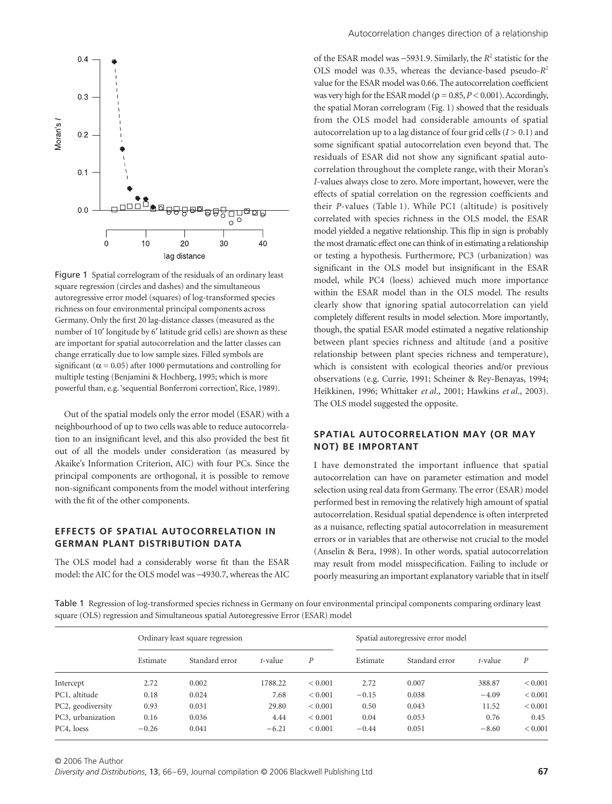

Figure 1 Spatial correlogram of the residuals of an ordinary least square regression (circles and dashes) and the simultaneous autoregressive error model (squares) of log-transformed species richness on four environmental principal components across Germany. Only the first 20 lag-distance classes (measured as the number of 10′ longitude by 6′ latitude grid cells) are shown as these are important for spatial autocorrelation and the latter classes can change erratically due to low sample sizes. Filled symbols are significant ( $\alpha$  = 0.05) after 1000 permutations and controlling for multiple testing (Benjamini & Hochberg, 1995; which is more powerful than, e.g. 'sequential Bonferroni correction', Rice, 1989).

Out of the spatial models only the error model (ESAR) with a neighbourhood of up to two cells was able to reduce autocorrelation to an insignificant level, and this also provided the best fit out of all the models under consideration (as measured by Akaike's Information Criterion, AIC) with four PCs. Since the principal components are orthogonal, it is possible to remove non-significant components from the model without interfering with the fit of the other components.

## **EFFECTS OF SPATIAL AUTOCORRELATION IN GERMAN PLANT DISTRIBUTION DATA**

The OLS model had a considerably worse fit than the ESAR model: the AIC for the OLS model was −4930.7, whereas the AIC

of the ESAR model was -5931.9. Similarly, the *R*<sup>2</sup> statistic for the OLS model was 0.35, whereas the deviance-based pseudo- $R^2$ value for the ESAR model was 0.66. The autocorrelation coefficient was very high for the ESAR model (ρ *=* 0.85, *P* < 0.001). Accordingly, the spatial Moran correlogram (Fig. 1) showed that the residuals from the OLS model had considerable amounts of spatial autocorrelation up to a lag distance of four grid cells  $(I > 0.1)$  and some significant spatial autocorrelation even beyond that. The residuals of ESAR did not show any significant spatial autocorrelation throughout the complete range, with their Moran's *I*-values always close to zero. More important, however, were the effects of spatial correlation on the regression coefficients and their *P*-values (Table 1). While PC1 (altitude) is positively correlated with species richness in the OLS model, the ESAR model yielded a negative relationship. This flip in sign is probably the most dramatic effect one can think of in estimating a relationship or testing a hypothesis. Furthermore, PC3 (urbanization) was significant in the OLS model but insignificant in the ESAR model, while PC4 (loess) achieved much more importance within the ESAR model than in the OLS model. The results clearly show that ignoring spatial autocorrelation can yield completely different results in model selection. More importantly, though, the spatial ESAR model estimated a negative relationship between plant species richness and altitude (and a positive relationship between plant species richness and temperature), which is consistent with ecological theories and/or previous observations (e.g. Currie, 1991; Scheiner & Rey-Benayas, 1994; Heikkinen, 1996; Whittaker *et al*., 2001; Hawkins *et al*., 2003). The OLS model suggested the opposite.

## **SPATIAL AUTOCORRELATION MAY (OR MAY NOT) BE IMPORTANT**

I have demonstrated the important influence that spatial autocorrelation can have on parameter estimation and model selection using real data from Germany. The error (ESAR) model performed best in removing the relatively high amount of spatial autocorrelation. Residual spatial dependence is often interpreted as a nuisance, reflecting spatial autocorrelation in measurement errors or in variables that are otherwise not crucial to the model (Anselin & Bera, 1998). In other words, spatial autocorrelation may result from model misspecification. Failing to include or poorly measuring an important explanatory variable that in itself

Table 1 Regression of log-transformed species richness in Germany on four environmental principal components comparing ordinary least square (OLS) regression and Simultaneous spatial Autoregressive Error (ESAR) model

|                   | Ordinary least square regression |                |         |              | Spatial autoregressive error model |                |         |             |
|-------------------|----------------------------------|----------------|---------|--------------|------------------------------------|----------------|---------|-------------|
|                   | Estimate                         | Standard error | t-value | Р            | Estimate                           | Standard error | t-value | Р           |
| Intercept         | 2.72                             | 0.002          | 1788.22 | ${}_{0.001}$ | 2.72                               | 0.007          | 388.87  | < 0.001     |
| PC1, altitude     | 0.18                             | 0.024          | 7.68    | ${}_{0.001}$ | $-0.15$                            | 0.038          | $-4.09$ | ${}< 0.001$ |
| PC2, geodiversity | 0.93                             | 0.031          | 29.80   | ${}_{0.001}$ | 0.50                               | 0.043          | 11.52   | < 0.001     |
| PC3, urbanization | 0.16                             | 0.036          | 4.44    | ${}_{0.001}$ | 0.04                               | 0.053          | 0.76    | 0.45        |
| PC4, loess        | $-0.26$                          | 0.041          | $-6.21$ | ${}_{0.001}$ | $-0.44$                            | 0.051          | $-8.60$ | < 0.001     |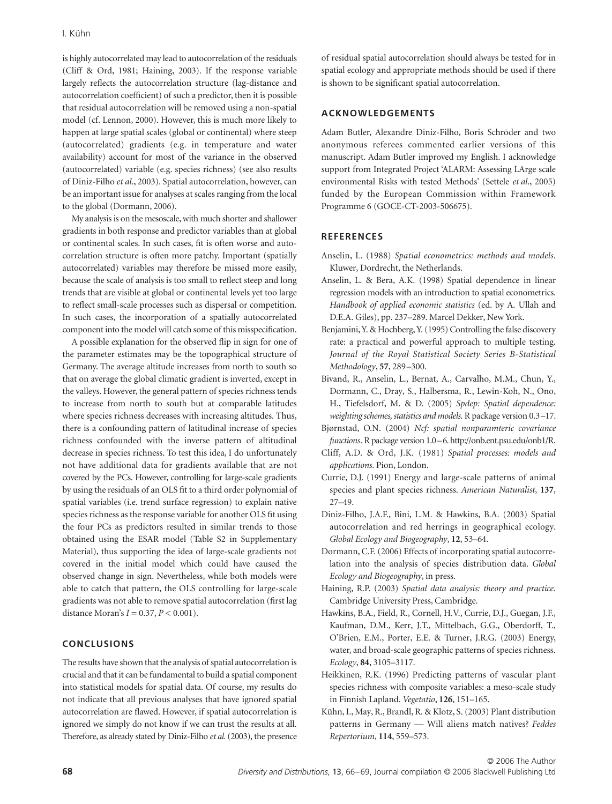is highly autocorrelated may lead to autocorrelation of the residuals (Cliff & Ord, 1981; Haining, 2003). If the response variable largely reflects the autocorrelation structure (lag-distance and autocorrelation coefficient) of such a predictor, then it is possible that residual autocorrelation will be removed using a non-spatial model (cf. Lennon, 2000). However, this is much more likely to happen at large spatial scales (global or continental) where steep (autocorrelated) gradients (e.g. in temperature and water availability) account for most of the variance in the observed (autocorrelated) variable (e.g. species richness) (see also results of Diniz-Filho *et al*., 2003). Spatial autocorrelation, however, can be an important issue for analyses at scales ranging from the local to the global (Dormann, 2006).

My analysis is on the mesoscale, with much shorter and shallower gradients in both response and predictor variables than at global or continental scales. In such cases, fit is often worse and autocorrelation structure is often more patchy. Important (spatially autocorrelated) variables may therefore be missed more easily, because the scale of analysis is too small to reflect steep and long trends that are visible at global or continental levels yet too large to reflect small-scale processes such as dispersal or competition. In such cases, the incorporation of a spatially autocorrelated component into the model will catch some of this misspecification.

A possible explanation for the observed flip in sign for one of the parameter estimates may be the topographical structure of Germany. The average altitude increases from north to south so that on average the global climatic gradient is inverted, except in the valleys. However, the general pattern of species richness tends to increase from north to south but at comparable latitudes where species richness decreases with increasing altitudes. Thus, there is a confounding pattern of latitudinal increase of species richness confounded with the inverse pattern of altitudinal decrease in species richness. To test this idea, I do unfortunately not have additional data for gradients available that are not covered by the PCs. However, controlling for large-scale gradients by using the residuals of an OLS fit to a third order polynomial of spatial variables (i.e. trend surface regression) to explain native species richness as the response variable for another OLS fit using the four PCs as predictors resulted in similar trends to those obtained using the ESAR model (Table S2 in Supplementary Material), thus supporting the idea of large-scale gradients not covered in the initial model which could have caused the observed change in sign. Nevertheless, while both models were able to catch that pattern, the OLS controlling for large-scale gradients was not able to remove spatial autocorrelation (first lag distance Moran's *I* = 0.37, *P* < 0.001).

# **CONCLUSIONS**

The results have shown that the analysis of spatial autocorrelation is crucial and that it can be fundamental to build a spatial component into statistical models for spatial data. Of course, my results do not indicate that all previous analyses that have ignored spatial autocorrelation are flawed. However, if spatial autocorrelation is ignored we simply do not know if we can trust the results at all. Therefore, as already stated by Diniz-Filho *et al*. (2003), the presence of residual spatial autocorrelation should always be tested for in spatial ecology and appropriate methods should be used if there is shown to be significant spatial autocorrelation.

## **ACKNOWLEDGEMENTS**

Adam Butler, Alexandre Diniz-Filho, Boris Schröder and two anonymous referees commented earlier versions of this manuscript. Adam Butler improved my English. I acknowledge support from Integrated Project 'ALARM: Assessing LArge scale environmental Risks with tested Methods' (Settele *et al*., 2005) funded by the European Commission within Framework Programme 6 (GOCE-CT-2003-506675).

## **REFERENCES**

- Anselin, L. (1988) *Spatial econometrics: methods and models*. Kluwer, Dordrecht, the Netherlands.
- Anselin, L. & Bera, A.K. (1998) Spatial dependence in linear regression models with an introduction to spatial econometrics. *Handbook of applied economic statistics* (ed. by A. Ullah and D.E.A. Giles), pp. 237–289. Marcel Dekker, New York.
- Benjamini, Y. & Hochberg, Y. (1995) Controlling the false discovery rate: a practical and powerful approach to multiple testing. *Journal of the Royal Statistical Society Series B-Statistical Methodology*, **57**, 289–300.
- Bivand, R., Anselin, L., Bernat, A., Carvalho, M.M., Chun, Y., Dormann, C., Dray, S., Halbersma, R., Lewin-Koh, N., Ono, H., Tiefelsdorf, M. & D. (2005) *Spdep: Spatial dependence: weighting schemes, statistics and models*. R package version 0.3–17.
- Bjørnstad, O.N. (2004) *Ncf: spatial nonparamteric covariance functions*. R package version 1.0–6. [http://onb.ent.psu.edu/onb1/R.](http://onb.ent.psu.edu/onb1/R)
- Cliff, A.D. & Ord, J.K. (1981) *Spatial processes: models and applications*. Pion, London.
- Currie, D.J. (1991) Energy and large-scale patterns of animal species and plant species richness. *American Naturalist*, **137**, 27–49.
- Diniz-Filho, J.A.F., Bini, L.M. & Hawkins, B.A. (2003) Spatial autocorrelation and red herrings in geographical ecology. *Global Ecology and Biogeography*, **12**, 53–64.
- Dormann, C.F. (2006) Effects of incorporating spatial autocorrelation into the analysis of species distribution data. *Global Ecology and Biogeography*, in press.
- Haining, R.P. (2003) *Spatial data analysis: theory and practice*. Cambridge University Press, Cambridge.
- Hawkins, B.A., Field, R., Cornell, H.V., Currie, D.J., Guegan, J.F., Kaufman, D.M., Kerr, J.T., Mittelbach, G.G., Oberdorff, T., O'Brien, E.M., Porter, E.E. & Turner, J.R.G. (2003) Energy, water, and broad-scale geographic patterns of species richness. *Ecology*, **84**, 3105–3117.
- Heikkinen, R.K. (1996) Predicting patterns of vascular plant species richness with composite variables: a meso-scale study in Finnish Lapland. *Vegetatio*, **126**, 151–165.
- Kühn, I., May, R., Brandl, R. & Klotz, S. (2003) Plant distribution patterns in Germany — Will aliens match natives? *Feddes Repertorium*, **114**, 559–573.